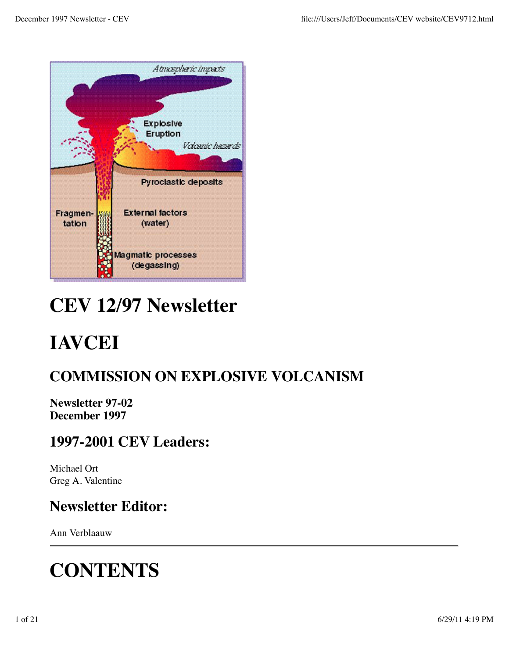

# **CEV 12/97 Newsletter**

# **IAVCEI**

## **COMMISSION ON EXPLOSIVE VOLCANISM**

**Newsletter 97-02 December 1997**

### **1997-2001 CEV Leaders:**

Michael Ort Greg A. Valentine

## **Newsletter Editor:**

Ann Verblaauw

# **CONTENTS**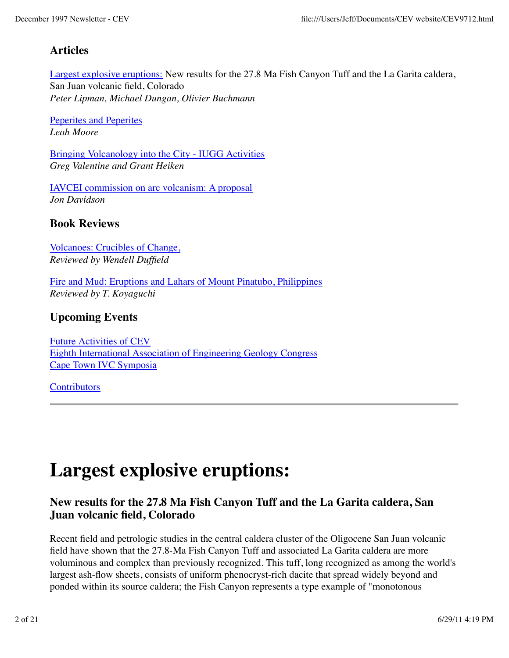### **Articles**

Largest explosive eruptions: New results for the 27.8 Ma Fish Canyon Tuff and the La Garita caldera, San Juan volcanic field, Colorado *Peter Lipman, Michael Dungan, Olivier Buchmann*

Peperites and Peperites *Leah Moore*

Bringing Volcanology into the City - IUGG Activities *Greg Valentine and Grant Heiken*

IAVCEI commission on arc volcanism: A proposal *Jon Davidson*

### **Book Reviews**

Volcanoes: Crucibles of Change, *Reviewed by Wendell Duffield*

Fire and Mud: Eruptions and Lahars of Mount Pinatubo, Philippines *Reviewed by T. Koyaguchi*

### **Upcoming Events**

Future Activities of CEV Eighth International Association of Engineering Geology Congress Cape Town IVC Symposia

**Contributors** 

## **Largest explosive eruptions:**

### **New results for the 27.8 Ma Fish Canyon Tuff and the La Garita caldera, San Juan volcanic field, Colorado**

Recent field and petrologic studies in the central caldera cluster of the Oligocene San Juan volcanic field have shown that the 27.8-Ma Fish Canyon Tuff and associated La Garita caldera are more voluminous and complex than previously recognized. This tuff, long recognized as among the world's largest ash-flow sheets, consists of uniform phenocryst-rich dacite that spread widely beyond and ponded within its source caldera; the Fish Canyon represents a type example of "monotonous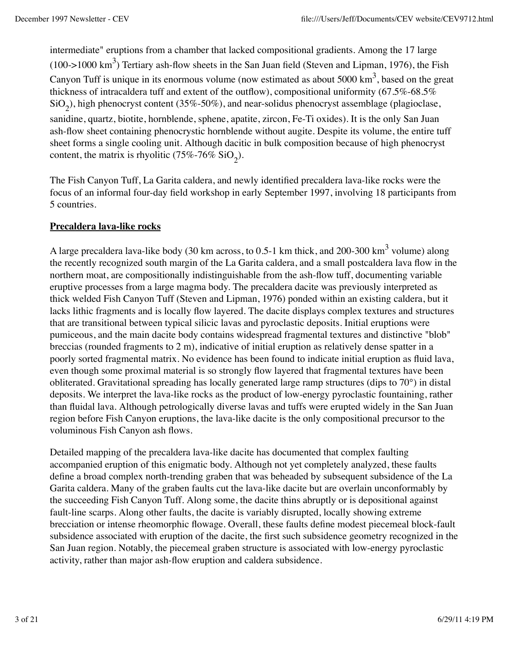intermediate" eruptions from a chamber that lacked compositional gradients. Among the 17 large (100->1000 km<sup>3</sup>) Tertiary ash-flow sheets in the San Juan field (Steven and Lipman, 1976), the Fish Canyon Tuff is unique in its enormous volume (now estimated as about 5000  $\text{km}^3$ , based on the great thickness of intracaldera tuff and extent of the outflow), compositional uniformity (67.5%-68.5%  $\rm SiO_2$ ), high phenocryst content (35%-50%), and near-solidus phenocryst assemblage (plagioclase, sanidine, quartz, biotite, hornblende, sphene, apatite, zircon, Fe-Ti oxides). It is the only San Juan ash-flow sheet containing phenocrystic hornblende without augite. Despite its volume, the entire tuff sheet forms a single cooling unit. Although dacitic in bulk composition because of high phenocryst content, the matrix is rhyolitic (75%-76%  $SiO_2$ ).

The Fish Canyon Tuff, La Garita caldera, and newly identified precaldera lava-like rocks were the focus of an informal four-day field workshop in early September 1997, involving 18 participants from 5 countries.

### **Precaldera lava-like rocks**

A large precaldera lava-like body (30 km across, to 0.5-1 km thick, and 200-300 km $^3$  volume) along the recently recognized south margin of the La Garita caldera, and a small postcaldera lava flow in the northern moat, are compositionally indistinguishable from the ash-flow tuff, documenting variable eruptive processes from a large magma body. The precaldera dacite was previously interpreted as thick welded Fish Canyon Tuff (Steven and Lipman, 1976) ponded within an existing caldera, but it lacks lithic fragments and is locally flow layered. The dacite displays complex textures and structures that are transitional between typical silicic lavas and pyroclastic deposits. Initial eruptions were pumiceous, and the main dacite body contains widespread fragmental textures and distinctive "blob" breccias (rounded fragments to 2 m), indicative of initial eruption as relatively dense spatter in a poorly sorted fragmental matrix. No evidence has been found to indicate initial eruption as fluid lava, even though some proximal material is so strongly flow layered that fragmental textures have been obliterated. Gravitational spreading has locally generated large ramp structures (dips to 70°) in distal deposits. We interpret the lava-like rocks as the product of low-energy pyroclastic fountaining, rather than fluidal lava. Although petrologically diverse lavas and tuffs were erupted widely in the San Juan region before Fish Canyon eruptions, the lava-like dacite is the only compositional precursor to the voluminous Fish Canyon ash flows.

Detailed mapping of the precaldera lava-like dacite has documented that complex faulting accompanied eruption of this enigmatic body. Although not yet completely analyzed, these faults define a broad complex north-trending graben that was beheaded by subsequent subsidence of the La Garita caldera. Many of the graben faults cut the lava-like dacite but are overlain unconformably by the succeeding Fish Canyon Tuff. Along some, the dacite thins abruptly or is depositional against fault-line scarps. Along other faults, the dacite is variably disrupted, locally showing extreme brecciation or intense rheomorphic flowage. Overall, these faults define modest piecemeal block-fault subsidence associated with eruption of the dacite, the first such subsidence geometry recognized in the San Juan region. Notably, the piecemeal graben structure is associated with low-energy pyroclastic activity, rather than major ash-flow eruption and caldera subsidence.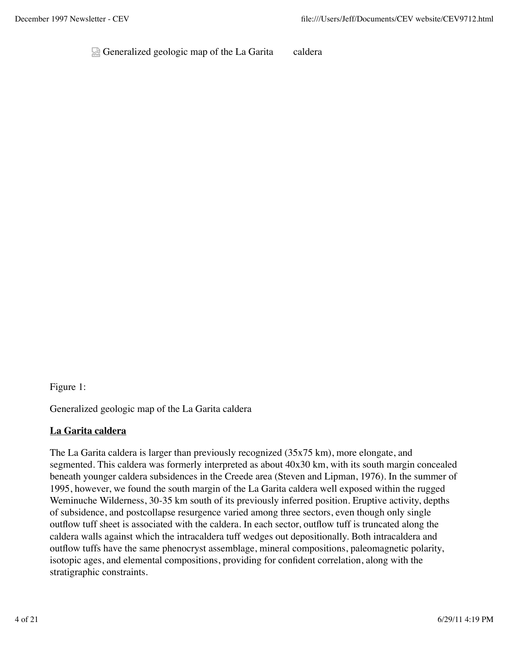Generalized geologic map of the La Garita caldera

Figure 1:

Generalized geologic map of the La Garita caldera

#### **La Garita caldera**

The La Garita caldera is larger than previously recognized (35x75 km), more elongate, and segmented. This caldera was formerly interpreted as about 40x30 km, with its south margin concealed beneath younger caldera subsidences in the Creede area (Steven and Lipman, 1976). In the summer of 1995, however, we found the south margin of the La Garita caldera well exposed within the rugged Weminuche Wilderness, 30-35 km south of its previously inferred position. Eruptive activity, depths of subsidence, and postcollapse resurgence varied among three sectors, even though only single outflow tuff sheet is associated with the caldera. In each sector, outflow tuff is truncated along the caldera walls against which the intracaldera tuff wedges out depositionally. Both intracaldera and outflow tuffs have the same phenocryst assemblage, mineral compositions, paleomagnetic polarity, isotopic ages, and elemental compositions, providing for confident correlation, along with the stratigraphic constraints.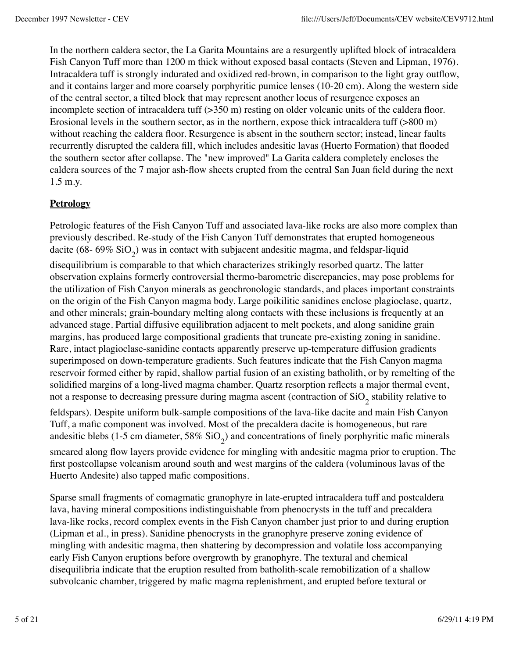In the northern caldera sector, the La Garita Mountains are a resurgently uplifted block of intracaldera Fish Canyon Tuff more than 1200 m thick without exposed basal contacts (Steven and Lipman, 1976). Intracaldera tuff is strongly indurated and oxidized red-brown, in comparison to the light gray outflow, and it contains larger and more coarsely porphyritic pumice lenses (10-20 cm). Along the western side of the central sector, a tilted block that may represent another locus of resurgence exposes an incomplete section of intracaldera tuff  $(350 \text{ m})$  resting on older volcanic units of the caldera floor. Erosional levels in the southern sector, as in the northern, expose thick intracaldera tuff (>800 m) without reaching the caldera floor. Resurgence is absent in the southern sector; instead, linear faults recurrently disrupted the caldera fill, which includes andesitic lavas (Huerto Formation) that flooded the southern sector after collapse. The "new improved" La Garita caldera completely encloses the caldera sources of the 7 major ash-flow sheets erupted from the central San Juan field during the next 1.5 m.y.

### **Petrology**

Petrologic features of the Fish Canyon Tuff and associated lava-like rocks are also more complex than previously described. Re-study of the Fish Canyon Tuff demonstrates that erupted homogeneous dacite (68- 69%  $\rm SiO_2)$  was in contact with subjacent andesitic magma, and feldspar-liquid disequilibrium is comparable to that which characterizes strikingly resorbed quartz. The latter observation explains formerly controversial thermo-barometric discrepancies, may pose problems for the utilization of Fish Canyon minerals as geochronologic standards, and places important constraints on the origin of the Fish Canyon magma body. Large poikilitic sanidines enclose plagioclase, quartz, and other minerals; grain-boundary melting along contacts with these inclusions is frequently at an advanced stage. Partial diffusive equilibration adjacent to melt pockets, and along sanidine grain margins, has produced large compositional gradients that truncate pre-existing zoning in sanidine. Rare, intact plagioclase-sanidine contacts apparently preserve up-temperature diffusion gradients superimposed on down-temperature gradients. Such features indicate that the Fish Canyon magma reservoir formed either by rapid, shallow partial fusion of an existing batholith, or by remelting of the

not a response to decreasing pressure during magma ascent (contraction of  $\mathrm{SiO}_2$  stability relative to feldspars). Despite uniform bulk-sample compositions of the lava-like dacite and main Fish Canyon Tuff, a mafic component was involved. Most of the precaldera dacite is homogeneous, but rare andesitic blebs (1-5 cm diameter, 58%  $\rm SiO_2)$  and concentrations of finely porphyritic mafic minerals smeared along flow layers provide evidence for mingling with andesitic magma prior to eruption. The first postcollapse volcanism around south and west margins of the caldera (voluminous lavas of the Huerto Andesite) also tapped mafic compositions.

solidified margins of a long-lived magma chamber. Quartz resorption reflects a major thermal event,

Sparse small fragments of comagmatic granophyre in late-erupted intracaldera tuff and postcaldera lava, having mineral compositions indistinguishable from phenocrysts in the tuff and precaldera lava-like rocks, record complex events in the Fish Canyon chamber just prior to and during eruption (Lipman et al., in press). Sanidine phenocrysts in the granophyre preserve zoning evidence of mingling with andesitic magma, then shattering by decompression and volatile loss accompanying early Fish Canyon eruptions before overgrowth by granophyre. The textural and chemical disequilibria indicate that the eruption resulted from batholith-scale remobilization of a shallow subvolcanic chamber, triggered by mafic magma replenishment, and erupted before textural or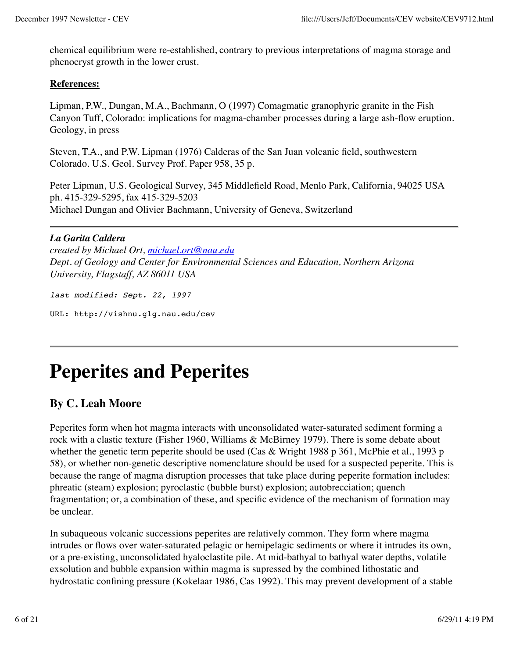chemical equilibrium were re-established, contrary to previous interpretations of magma storage and phenocryst growth in the lower crust.

#### **References:**

Lipman, P.W., Dungan, M.A., Bachmann, O (1997) Comagmatic granophyric granite in the Fish Canyon Tuff, Colorado: implications for magma-chamber processes during a large ash-flow eruption. Geology, in press

Steven, T.A., and P.W. Lipman (1976) Calderas of the San Juan volcanic field, southwestern Colorado. U.S. Geol. Survey Prof. Paper 958, 35 p.

Peter Lipman, U.S. Geological Survey, 345 Middlefield Road, Menlo Park, California, 94025 USA ph. 415-329-5295, fax 415-329-5203 Michael Dungan and Olivier Bachmann, University of Geneva, Switzerland

### *La Garita Caldera*

*created by Michael Ort, michael.ort@nau.edu Dept. of Geology and Center for Environmental Sciences and Education, Northern Arizona University, Flagstaff, AZ 86011 USA*

*last modified: Sept. 22, 1997*

URL: http://vishnu.glg.nau.edu/cev

## **Peperites and Peperites**

### **By C. Leah Moore**

Peperites form when hot magma interacts with unconsolidated water-saturated sediment forming a rock with a clastic texture (Fisher 1960, Williams & McBirney 1979). There is some debate about whether the genetic term peperite should be used (Cas & Wright 1988 p 361, McPhie et al., 1993 p 58), or whether non-genetic descriptive nomenclature should be used for a suspected peperite. This is because the range of magma disruption processes that take place during peperite formation includes: phreatic (steam) explosion; pyroclastic (bubble burst) explosion; autobrecciation; quench fragmentation; or, a combination of these, and specific evidence of the mechanism of formation may be unclear.

In subaqueous volcanic successions peperites are relatively common. They form where magma intrudes or flows over water-saturated pelagic or hemipelagic sediments or where it intrudes its own, or a pre-existing, unconsolidated hyaloclastite pile. At mid-bathyal to bathyal water depths, volatile exsolution and bubble expansion within magma is supressed by the combined lithostatic and hydrostatic confining pressure (Kokelaar 1986, Cas 1992). This may prevent development of a stable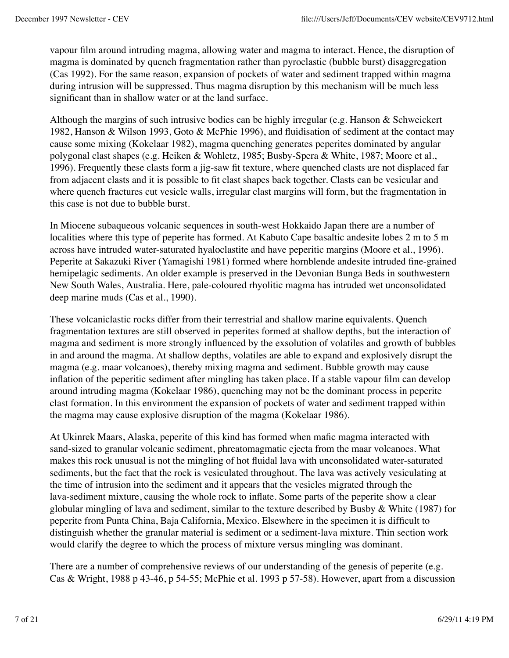vapour film around intruding magma, allowing water and magma to interact. Hence, the disruption of magma is dominated by quench fragmentation rather than pyroclastic (bubble burst) disaggregation (Cas 1992). For the same reason, expansion of pockets of water and sediment trapped within magma during intrusion will be suppressed. Thus magma disruption by this mechanism will be much less significant than in shallow water or at the land surface.

Although the margins of such intrusive bodies can be highly irregular (e.g. Hanson & Schweickert 1982, Hanson & Wilson 1993, Goto & McPhie 1996), and fluidisation of sediment at the contact may cause some mixing (Kokelaar 1982), magma quenching generates peperites dominated by angular polygonal clast shapes (e.g. Heiken & Wohletz, 1985; Busby-Spera & White, 1987; Moore et al., 1996). Frequently these clasts form a jig-saw fit texture, where quenched clasts are not displaced far from adjacent clasts and it is possible to fit clast shapes back together. Clasts can be vesicular and where quench fractures cut vesicle walls, irregular clast margins will form, but the fragmentation in this case is not due to bubble burst.

In Miocene subaqueous volcanic sequences in south-west Hokkaido Japan there are a number of localities where this type of peperite has formed. At Kabuto Cape basaltic andesite lobes 2 m to 5 m across have intruded water-saturated hyaloclastite and have peperitic margins (Moore et al., 1996). Peperite at Sakazuki River (Yamagishi 1981) formed where hornblende andesite intruded fine-grained hemipelagic sediments. An older example is preserved in the Devonian Bunga Beds in southwestern New South Wales, Australia. Here, pale-coloured rhyolitic magma has intruded wet unconsolidated deep marine muds (Cas et al., 1990).

These volcaniclastic rocks differ from their terrestrial and shallow marine equivalents. Quench fragmentation textures are still observed in peperites formed at shallow depths, but the interaction of magma and sediment is more strongly influenced by the exsolution of volatiles and growth of bubbles in and around the magma. At shallow depths, volatiles are able to expand and explosively disrupt the magma (e.g. maar volcanoes), thereby mixing magma and sediment. Bubble growth may cause inflation of the peperitic sediment after mingling has taken place. If a stable vapour film can develop around intruding magma (Kokelaar 1986), quenching may not be the dominant process in peperite clast formation. In this environment the expansion of pockets of water and sediment trapped within the magma may cause explosive disruption of the magma (Kokelaar 1986).

At Ukinrek Maars, Alaska, peperite of this kind has formed when mafic magma interacted with sand-sized to granular volcanic sediment, phreatomagmatic ejecta from the maar volcanoes. What makes this rock unusual is not the mingling of hot fluidal lava with unconsolidated water-saturated sediments, but the fact that the rock is vesiculated throughout. The lava was actively vesiculating at the time of intrusion into the sediment and it appears that the vesicles migrated through the lava-sediment mixture, causing the whole rock to inflate. Some parts of the peperite show a clear globular mingling of lava and sediment, similar to the texture described by Busby  $\&$  White (1987) for peperite from Punta China, Baja California, Mexico. Elsewhere in the specimen it is difficult to distinguish whether the granular material is sediment or a sediment-lava mixture. Thin section work would clarify the degree to which the process of mixture versus mingling was dominant.

There are a number of comprehensive reviews of our understanding of the genesis of peperite (e.g. Cas & Wright, 1988 p 43-46, p 54-55; McPhie et al. 1993 p 57-58). However, apart from a discussion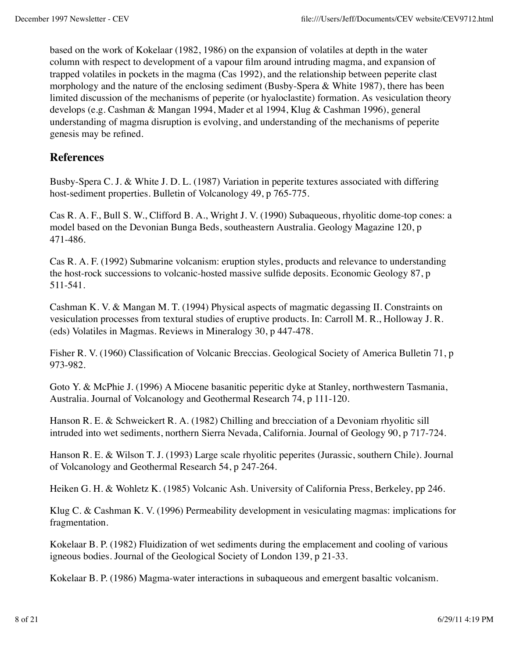based on the work of Kokelaar (1982, 1986) on the expansion of volatiles at depth in the water column with respect to development of a vapour film around intruding magma, and expansion of trapped volatiles in pockets in the magma (Cas 1992), and the relationship between peperite clast morphology and the nature of the enclosing sediment (Busby-Spera & White 1987), there has been limited discussion of the mechanisms of peperite (or hyaloclastite) formation. As vesiculation theory develops (e.g. Cashman & Mangan 1994, Mader et al 1994, Klug & Cashman 1996), general understanding of magma disruption is evolving, and understanding of the mechanisms of peperite genesis may be refined.

### **References**

Busby-Spera C. J. & White J. D. L. (1987) Variation in peperite textures associated with differing host-sediment properties. Bulletin of Volcanology 49, p 765-775.

Cas R. A. F., Bull S. W., Clifford B. A., Wright J. V. (1990) Subaqueous, rhyolitic dome-top cones: a model based on the Devonian Bunga Beds, southeastern Australia. Geology Magazine 120, p 471-486.

Cas R. A. F. (1992) Submarine volcanism: eruption styles, products and relevance to understanding the host-rock successions to volcanic-hosted massive sulfide deposits. Economic Geology 87, p 511-541.

Cashman K. V. & Mangan M. T. (1994) Physical aspects of magmatic degassing II. Constraints on vesiculation processes from textural studies of eruptive products. In: Carroll M. R., Holloway J. R. (eds) Volatiles in Magmas. Reviews in Mineralogy 30, p 447-478.

Fisher R. V. (1960) Classification of Volcanic Breccias. Geological Society of America Bulletin 71, p 973-982.

Goto Y. & McPhie J. (1996) A Miocene basanitic peperitic dyke at Stanley, northwestern Tasmania, Australia. Journal of Volcanology and Geothermal Research 74, p 111-120.

Hanson R. E. & Schweickert R. A. (1982) Chilling and brecciation of a Devoniam rhyolitic sill intruded into wet sediments, northern Sierra Nevada, California. Journal of Geology 90, p 717-724.

Hanson R. E. & Wilson T. J. (1993) Large scale rhyolitic peperites (Jurassic, southern Chile). Journal of Volcanology and Geothermal Research 54, p 247-264.

Heiken G. H. & Wohletz K. (1985) Volcanic Ash. University of California Press, Berkeley, pp 246.

Klug C. & Cashman K. V. (1996) Permeability development in vesiculating magmas: implications for fragmentation.

Kokelaar B. P. (1982) Fluidization of wet sediments during the emplacement and cooling of various igneous bodies. Journal of the Geological Society of London 139, p 21-33.

Kokelaar B. P. (1986) Magma-water interactions in subaqueous and emergent basaltic volcanism.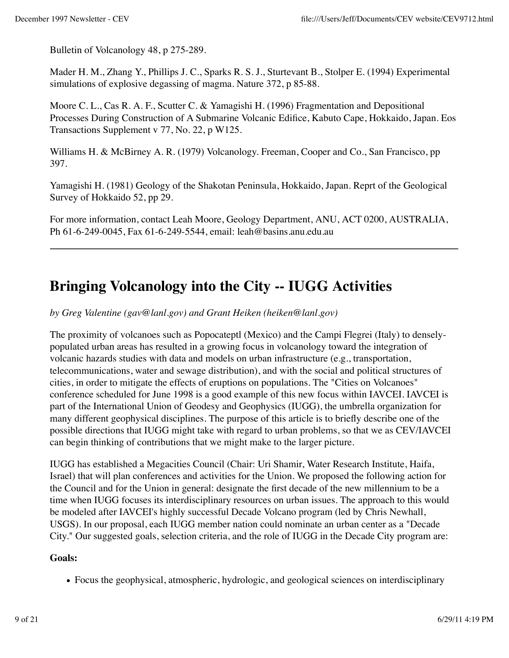Bulletin of Volcanology 48, p 275-289.

Mader H. M., Zhang Y., Phillips J. C., Sparks R. S. J., Sturtevant B., Stolper E. (1994) Experimental simulations of explosive degassing of magma. Nature 372, p 85-88.

Moore C. L., Cas R. A. F., Scutter C. & Yamagishi H. (1996) Fragmentation and Depositional Processes During Construction of A Submarine Volcanic Edifice, Kabuto Cape, Hokkaido, Japan. Eos Transactions Supplement v 77, No. 22, p W125.

Williams H. & McBirney A. R. (1979) Volcanology. Freeman, Cooper and Co., San Francisco, pp 397.

Yamagishi H. (1981) Geology of the Shakotan Peninsula, Hokkaido, Japan. Reprt of the Geological Survey of Hokkaido 52, pp 29.

For more information, contact Leah Moore, Geology Department, ANU, ACT 0200, AUSTRALIA, Ph 61-6-249-0045, Fax 61-6-249-5544, email: leah@basins.anu.edu.au

## **Bringing Volcanology into the City -- IUGG Activities**

*by Greg Valentine (gav@lanl.gov) and Grant Heiken (heiken@lanl.gov)*

The proximity of volcanoes such as Popocateptl (Mexico) and the Campi Flegrei (Italy) to denselypopulated urban areas has resulted in a growing focus in volcanology toward the integration of volcanic hazards studies with data and models on urban infrastructure (e.g., transportation, telecommunications, water and sewage distribution), and with the social and political structures of cities, in order to mitigate the effects of eruptions on populations. The "Cities on Volcanoes" conference scheduled for June 1998 is a good example of this new focus within IAVCEI. IAVCEI is part of the International Union of Geodesy and Geophysics (IUGG), the umbrella organization for many different geophysical disciplines. The purpose of this article is to briefly describe one of the possible directions that IUGG might take with regard to urban problems, so that we as CEV/IAVCEI can begin thinking of contributions that we might make to the larger picture.

IUGG has established a Megacities Council (Chair: Uri Shamir, Water Research Institute, Haifa, Israel) that will plan conferences and activities for the Union. We proposed the following action for the Council and for the Union in general: designate the first decade of the new millennium to be a time when IUGG focuses its interdisciplinary resources on urban issues. The approach to this would be modeled after IAVCEI's highly successful Decade Volcano program (led by Chris Newhall, USGS). In our proposal, each IUGG member nation could nominate an urban center as a "Decade City." Our suggested goals, selection criteria, and the role of IUGG in the Decade City program are:

### **Goals:**

Focus the geophysical, atmospheric, hydrologic, and geological sciences on interdisciplinary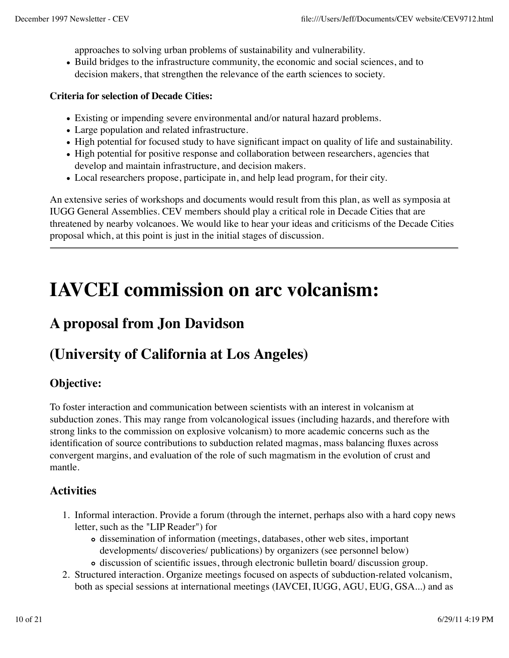approaches to solving urban problems of sustainability and vulnerability.

Build bridges to the infrastructure community, the economic and social sciences, and to decision makers, that strengthen the relevance of the earth sciences to society.

#### **Criteria for selection of Decade Cities:**

- Existing or impending severe environmental and/or natural hazard problems.
- Large population and related infrastructure.
- High potential for focused study to have significant impact on quality of life and sustainability.
- High potential for positive response and collaboration between researchers, agencies that develop and maintain infrastructure, and decision makers.
- Local researchers propose, participate in, and help lead program, for their city.

An extensive series of workshops and documents would result from this plan, as well as symposia at IUGG General Assemblies. CEV members should play a critical role in Decade Cities that are threatened by nearby volcanoes. We would like to hear your ideas and criticisms of the Decade Cities proposal which, at this point is just in the initial stages of discussion.

## **IAVCEI commission on arc volcanism:**

### **A proposal from Jon Davidson**

### **(University of California at Los Angeles)**

### **Objective:**

To foster interaction and communication between scientists with an interest in volcanism at subduction zones. This may range from volcanological issues (including hazards, and therefore with strong links to the commission on explosive volcanism) to more academic concerns such as the identification of source contributions to subduction related magmas, mass balancing fluxes across convergent margins, and evaluation of the role of such magmatism in the evolution of crust and mantle.

### **Activities**

- 1. Informal interaction. Provide a forum (through the internet, perhaps also with a hard copy news letter, such as the "LIP Reader") for
	- dissemination of information (meetings, databases, other web sites, important developments/ discoveries/ publications) by organizers (see personnel below)
	- discussion of scientific issues, through electronic bulletin board/ discussion group.
- 2. Structured interaction. Organize meetings focused on aspects of subduction-related volcanism, both as special sessions at international meetings (IAVCEI, IUGG, AGU, EUG, GSA...) and as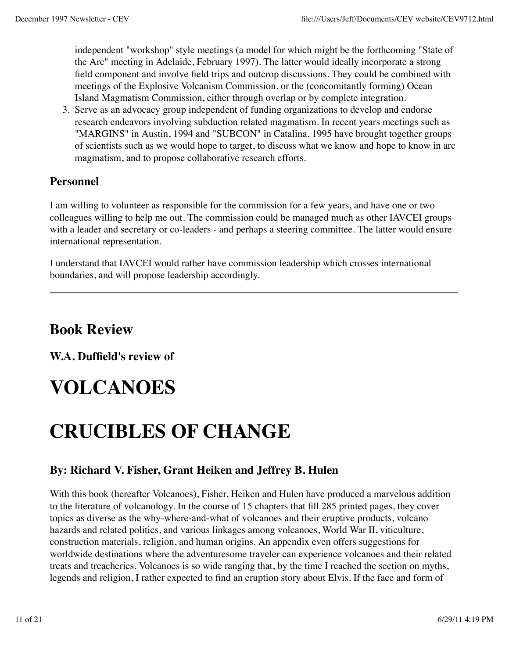independent "workshop" style meetings (a model for which might be the forthcoming "State of the Arc" meeting in Adelaide, February 1997). The latter would ideally incorporate a strong field component and involve field trips and outcrop discussions. They could be combined with meetings of the Explosive Volcanism Commission, or the (concomitantly forming) Ocean Island Magmatism Commission, either through overlap or by complete integration.

Serve as an advocacy group independent of funding organizations to develop and endorse 3. research endeavors involving subduction related magmatism. In recent years meetings such as "MARGINS" in Austin, 1994 and "SUBCON" in Catalina, 1995 have brought together groups of scientists such as we would hope to target, to discuss what we know and hope to know in arc magmatism, and to propose collaborative research efforts.

### **Personnel**

I am willing to volunteer as responsible for the commission for a few years, and have one or two colleagues willing to help me out. The commission could be managed much as other IAVCEI groups with a leader and secretary or co-leaders - and perhaps a steering committee. The latter would ensure international representation.

I understand that IAVCEI would rather have commission leadership which crosses international boundaries, and will propose leadership accordingly.

### **Book Review**

**W.A. Duffield's review of**

# **VOLCANOES**

# **CRUCIBLES OF CHANGE**

### **By: Richard V. Fisher, Grant Heiken and Jeffrey B. Hulen**

With this book (hereafter Volcanoes), Fisher, Heiken and Hulen have produced a marvelous addition to the literature of volcanology. In the course of 15 chapters that fill 285 printed pages, they cover topics as diverse as the why-where-and-what of volcanoes and their eruptive products, volcano hazards and related politics, and various linkages among volcanoes, World War II, viticulture, construction materials, religion, and human origins. An appendix even offers suggestions for worldwide destinations where the adventuresome traveler can experience volcanoes and their related treats and treacheries. Volcanoes is so wide ranging that, by the time I reached the section on myths, legends and religion, I rather expected to find an eruption story about Elvis. If the face and form of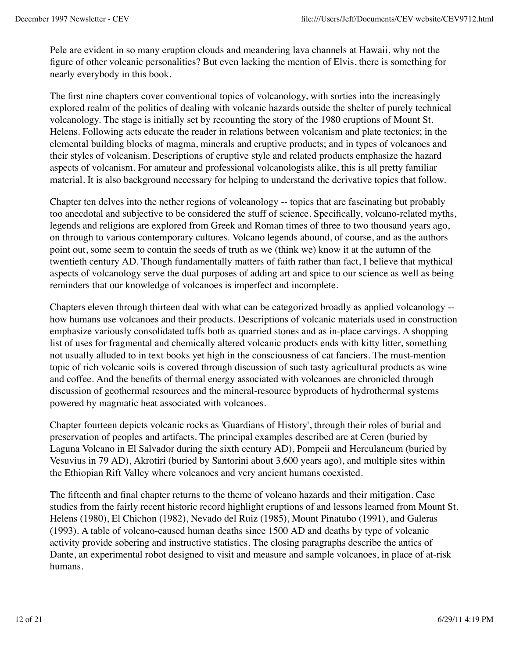Pele are evident in so many eruption clouds and meandering lava channels at Hawaii, why not the figure of other volcanic personalities? But even lacking the mention of Elvis, there is something for nearly everybody in this book.

The first nine chapters cover conventional topics of volcanology, with sorties into the increasingly explored realm of the politics of dealing with volcanic hazards outside the shelter of purely technical volcanology. The stage is initially set by recounting the story of the 1980 eruptions of Mount St. Helens. Following acts educate the reader in relations between volcanism and plate tectonics; in the elemental building blocks of magma, minerals and eruptive products; and in types of volcanoes and their styles of volcanism. Descriptions of eruptive style and related products emphasize the hazard aspects of volcanism. For amateur and professional volcanologists alike, this is all pretty familiar material. It is also background necessary for helping to understand the derivative topics that follow.

Chapter ten delves into the nether regions of volcanology -- topics that are fascinating but probably too anecdotal and subjective to be considered the stuff of science. Specifically, volcano-related myths, legends and religions are explored from Greek and Roman times of three to two thousand years ago, on through to various contemporary cultures. Volcano legends abound, of course, and as the authors point out, some seem to contain the seeds of truth as we (think we) know it at the autumn of the twentieth century AD. Though fundamentally matters of faith rather than fact, I believe that mythical aspects of volcanology serve the dual purposes of adding art and spice to our science as well as being reminders that our knowledge of volcanoes is imperfect and incomplete.

Chapters eleven through thirteen deal with what can be categorized broadly as applied volcanology - how humans use volcanoes and their products. Descriptions of volcanic materials used in construction emphasize variously consolidated tuffs both as quarried stones and as in-place carvings. A shopping list of uses for fragmental and chemically altered volcanic products ends with kitty litter, something not usually alluded to in text books yet high in the consciousness of cat fanciers. The must-mention topic of rich volcanic soils is covered through discussion of such tasty agricultural products as wine and coffee. And the benefits of thermal energy associated with volcanoes are chronicled through discussion of geothermal resources and the mineral-resource byproducts of hydrothermal systems powered by magmatic heat associated with volcanoes.

Chapter fourteen depicts volcanic rocks as 'Guardians of History', through their roles of burial and preservation of peoples and artifacts. The principal examples described are at Ceren (buried by Laguna Volcano in El Salvador during the sixth century AD), Pompeii and Herculaneum (buried by Vesuvius in 79 AD), Akrotiri (buried by Santorini about 3,600 years ago), and multiple sites within the Ethiopian Rift Valley where volcanoes and very ancient humans coexisted.

The fifteenth and final chapter returns to the theme of volcano hazards and their mitigation. Case studies from the fairly recent historic record highlight eruptions of and lessons learned from Mount St. Helens (1980), El Chichon (1982), Nevado del Ruiz (1985), Mount Pinatubo (1991), and Galeras (1993). A table of volcano-caused human deaths since 1500 AD and deaths by type of volcanic activity provide sobering and instructive statistics. The closing paragraphs describe the antics of Dante, an experimental robot designed to visit and measure and sample volcanoes, in place of at-risk humans.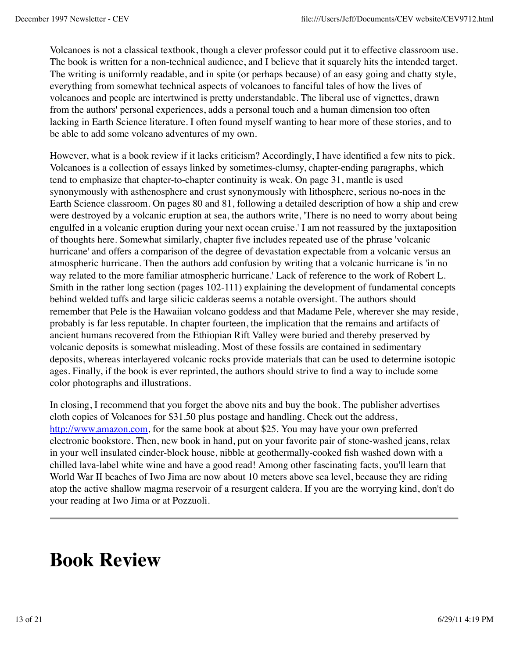Volcanoes is not a classical textbook, though a clever professor could put it to effective classroom use. The book is written for a non-technical audience, and I believe that it squarely hits the intended target. The writing is uniformly readable, and in spite (or perhaps because) of an easy going and chatty style, everything from somewhat technical aspects of volcanoes to fanciful tales of how the lives of volcanoes and people are intertwined is pretty understandable. The liberal use of vignettes, drawn from the authors' personal experiences, adds a personal touch and a human dimension too often lacking in Earth Science literature. I often found myself wanting to hear more of these stories, and to be able to add some volcano adventures of my own.

However, what is a book review if it lacks criticism? Accordingly, I have identified a few nits to pick. Volcanoes is a collection of essays linked by sometimes-clumsy, chapter-ending paragraphs, which tend to emphasize that chapter-to-chapter continuity is weak. On page 31, mantle is used synonymously with asthenosphere and crust synonymously with lithosphere, serious no-noes in the Earth Science classroom. On pages 80 and 81, following a detailed description of how a ship and crew were destroyed by a volcanic eruption at sea, the authors write, 'There is no need to worry about being engulfed in a volcanic eruption during your next ocean cruise.' I am not reassured by the juxtaposition of thoughts here. Somewhat similarly, chapter five includes repeated use of the phrase 'volcanic hurricane' and offers a comparison of the degree of devastation expectable from a volcanic versus an atmospheric hurricane. Then the authors add confusion by writing that a volcanic hurricane is 'in no way related to the more familiar atmospheric hurricane.' Lack of reference to the work of Robert L. Smith in the rather long section (pages 102-111) explaining the development of fundamental concepts behind welded tuffs and large silicic calderas seems a notable oversight. The authors should remember that Pele is the Hawaiian volcano goddess and that Madame Pele, wherever she may reside, probably is far less reputable. In chapter fourteen, the implication that the remains and artifacts of ancient humans recovered from the Ethiopian Rift Valley were buried and thereby preserved by volcanic deposits is somewhat misleading. Most of these fossils are contained in sedimentary deposits, whereas interlayered volcanic rocks provide materials that can be used to determine isotopic ages. Finally, if the book is ever reprinted, the authors should strive to find a way to include some color photographs and illustrations.

In closing, I recommend that you forget the above nits and buy the book. The publisher advertises cloth copies of Volcanoes for \$31.50 plus postage and handling. Check out the address, http://www.amazon.com, for the same book at about \$25. You may have your own preferred electronic bookstore. Then, new book in hand, put on your favorite pair of stone-washed jeans, relax in your well insulated cinder-block house, nibble at geothermally-cooked fish washed down with a chilled lava-label white wine and have a good read! Among other fascinating facts, you'll learn that World War II beaches of Iwo Jima are now about 10 meters above sea level, because they are riding atop the active shallow magma reservoir of a resurgent caldera. If you are the worrying kind, don't do your reading at Iwo Jima or at Pozzuoli.

## **Book Review**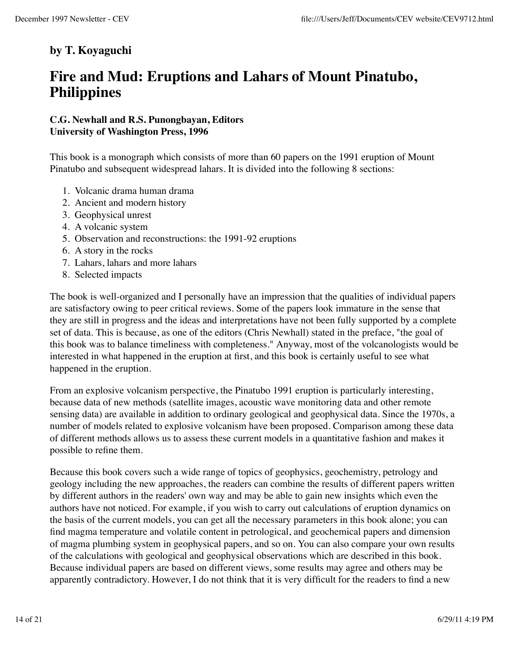### **by T. Koyaguchi**

### **Fire and Mud: Eruptions and Lahars of Mount Pinatubo, Philippines**

### **C.G. Newhall and R.S. Punongbayan, Editors University of Washington Press, 1996**

This book is a monograph which consists of more than 60 papers on the 1991 eruption of Mount Pinatubo and subsequent widespread lahars. It is divided into the following 8 sections:

- 1. Volcanic drama human drama
- 2. Ancient and modern history
- 3. Geophysical unrest
- 4. A volcanic system
- 5. Observation and reconstructions: the 1991-92 eruptions
- 6. A story in the rocks
- 7. Lahars, lahars and more lahars
- 8. Selected impacts

The book is well-organized and I personally have an impression that the qualities of individual papers are satisfactory owing to peer critical reviews. Some of the papers look immature in the sense that they are still in progress and the ideas and interpretations have not been fully supported by a complete set of data. This is because, as one of the editors (Chris Newhall) stated in the preface, "the goal of this book was to balance timeliness with completeness." Anyway, most of the volcanologists would be interested in what happened in the eruption at first, and this book is certainly useful to see what happened in the eruption.

From an explosive volcanism perspective, the Pinatubo 1991 eruption is particularly interesting, because data of new methods (satellite images, acoustic wave monitoring data and other remote sensing data) are available in addition to ordinary geological and geophysical data. Since the 1970s, a number of models related to explosive volcanism have been proposed. Comparison among these data of different methods allows us to assess these current models in a quantitative fashion and makes it possible to refine them.

Because this book covers such a wide range of topics of geophysics, geochemistry, petrology and geology including the new approaches, the readers can combine the results of different papers written by different authors in the readers' own way and may be able to gain new insights which even the authors have not noticed. For example, if you wish to carry out calculations of eruption dynamics on the basis of the current models, you can get all the necessary parameters in this book alone; you can find magma temperature and volatile content in petrological, and geochemical papers and dimension of magma plumbing system in geophysical papers, and so on. You can also compare your own results of the calculations with geological and geophysical observations which are described in this book. Because individual papers are based on different views, some results may agree and others may be apparently contradictory. However, I do not think that it is very difficult for the readers to find a new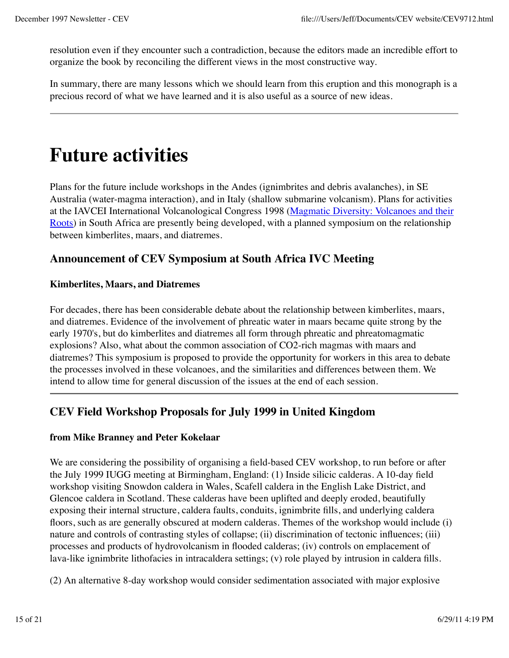resolution even if they encounter such a contradiction, because the editors made an incredible effort to organize the book by reconciling the different views in the most constructive way.

In summary, there are many lessons which we should learn from this eruption and this monograph is a precious record of what we have learned and it is also useful as a source of new ideas.

## **Future activities**

Plans for the future include workshops in the Andes (ignimbrites and debris avalanches), in SE Australia (water-magma interaction), and in Italy (shallow submarine volcanism). Plans for activities at the IAVCEI International Volcanological Congress 1998 (Magmatic Diversity: Volcanoes and their Roots) in South Africa are presently being developed, with a planned symposium on the relationship between kimberlites, maars, and diatremes.

### **Announcement of CEV Symposium at South Africa IVC Meeting**

### **Kimberlites, Maars, and Diatremes**

For decades, there has been considerable debate about the relationship between kimberlites, maars, and diatremes. Evidence of the involvement of phreatic water in maars became quite strong by the early 1970's, but do kimberlites and diatremes all form through phreatic and phreatomagmatic explosions? Also, what about the common association of CO2-rich magmas with maars and diatremes? This symposium is proposed to provide the opportunity for workers in this area to debate the processes involved in these volcanoes, and the similarities and differences between them. We intend to allow time for general discussion of the issues at the end of each session.

### **CEV Field Workshop Proposals for July 1999 in United Kingdom**

### **from Mike Branney and Peter Kokelaar**

We are considering the possibility of organising a field-based CEV workshop, to run before or after the July 1999 IUGG meeting at Birmingham, England: (1) Inside silicic calderas. A 10-day field workshop visiting Snowdon caldera in Wales, Scafell caldera in the English Lake District, and Glencoe caldera in Scotland. These calderas have been uplifted and deeply eroded, beautifully exposing their internal structure, caldera faults, conduits, ignimbrite fills, and underlying caldera floors, such as are generally obscured at modern calderas. Themes of the workshop would include (i) nature and controls of contrasting styles of collapse; (ii) discrimination of tectonic influences; (iii) processes and products of hydrovolcanism in flooded calderas; (iv) controls on emplacement of lava-like ignimbrite lithofacies in intracaldera settings; (v) role played by intrusion in caldera fills.

(2) An alternative 8-day workshop would consider sedimentation associated with major explosive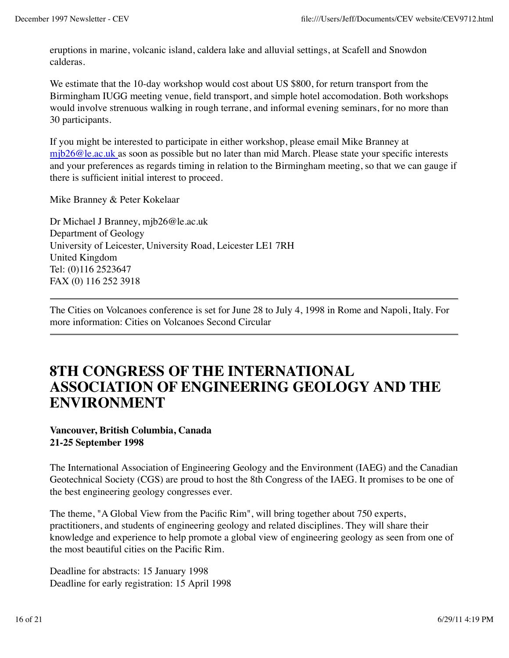eruptions in marine, volcanic island, caldera lake and alluvial settings, at Scafell and Snowdon calderas.

We estimate that the 10-day workshop would cost about US \$800, for return transport from the Birmingham IUGG meeting venue, field transport, and simple hotel accomodation. Both workshops would involve strenuous walking in rough terrane, and informal evening seminars, for no more than 30 participants.

If you might be interested to participate in either workshop, please email Mike Branney at mjb26@le.ac.uk as soon as possible but no later than mid March. Please state your specific interests and your preferences as regards timing in relation to the Birmingham meeting, so that we can gauge if there is sufficient initial interest to proceed.

Mike Branney & Peter Kokelaar

Dr Michael J Branney, mjb26@le.ac.uk Department of Geology University of Leicester, University Road, Leicester LE1 7RH United Kingdom Tel: (0)116 2523647 FAX (0) 116 252 3918

The Cities on Volcanoes conference is set for June 28 to July 4, 1998 in Rome and Napoli, Italy. For more information: Cities on Volcanoes Second Circular

### **8TH CONGRESS OF THE INTERNATIONAL ASSOCIATION OF ENGINEERING GEOLOGY AND THE ENVIRONMENT**

### **Vancouver, British Columbia, Canada 21-25 September 1998**

The International Association of Engineering Geology and the Environment (IAEG) and the Canadian Geotechnical Society (CGS) are proud to host the 8th Congress of the IAEG. It promises to be one of the best engineering geology congresses ever.

The theme, "A Global View from the Pacific Rim", will bring together about 750 experts, practitioners, and students of engineering geology and related disciplines. They will share their knowledge and experience to help promote a global view of engineering geology as seen from one of the most beautiful cities on the Pacific Rim.

Deadline for abstracts: 15 January 1998 Deadline for early registration: 15 April 1998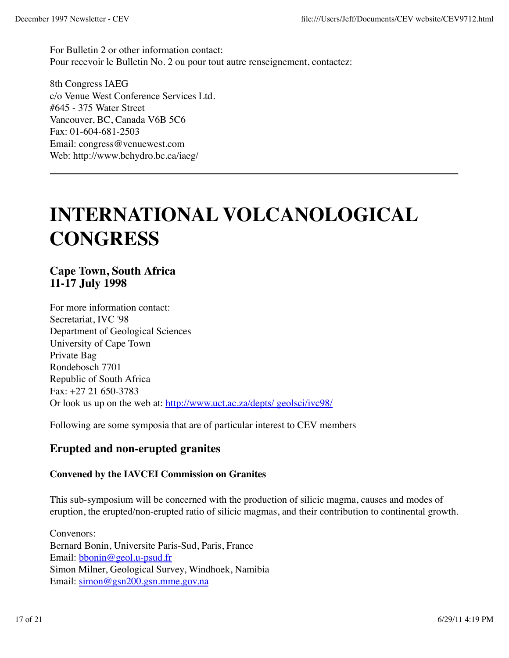For Bulletin 2 or other information contact: Pour recevoir le Bulletin No. 2 ou pour tout autre renseignement, contactez:

8th Congress IAEG c/o Venue West Conference Services Ltd. #645 - 375 Water Street Vancouver, BC, Canada V6B 5C6 Fax: 01-604-681-2503 Email: congress@venuewest.com Web: http://www.bchydro.bc.ca/iaeg/

# **INTERNATIONAL VOLCANOLOGICAL CONGRESS**

**Cape Town, South Africa 11-17 July 1998**

For more information contact: Secretariat, IVC '98 Department of Geological Sciences University of Cape Town Private Bag Rondebosch 7701 Republic of South Africa Fax: +27 21 650-3783 Or look us up on the web at: http://www.uct.ac.za/depts/ geolsci/ivc98/

Following are some symposia that are of particular interest to CEV members

### **Erupted and non-erupted granites**

#### **Convened by the IAVCEI Commission on Granites**

This sub-symposium will be concerned with the production of silicic magma, causes and modes of eruption, the erupted/non-erupted ratio of silicic magmas, and their contribution to continental growth.

Convenors: Bernard Bonin, Universite Paris-Sud, Paris, France Email: bbonin@geol.u-psud.fr Simon Milner, Geological Survey, Windhoek, Namibia Email: simon@gsn200.gsn.mme.gov.na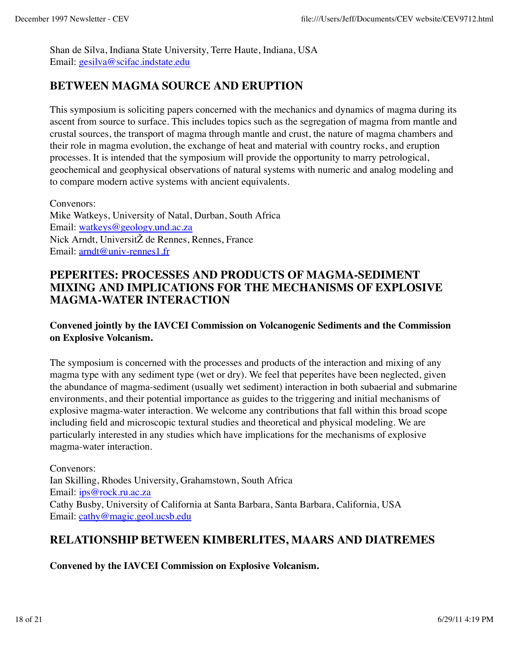Shan de Silva, Indiana State University, Terre Haute, Indiana, USA Email: gesilva@scifac.indstate.edu

### **BETWEEN MAGMA SOURCE AND ERUPTION**

This symposium is soliciting papers concerned with the mechanics and dynamics of magma during its ascent from source to surface. This includes topics such as the segregation of magma from mantle and crustal sources, the transport of magma through mantle and crust, the nature of magma chambers and their role in magma evolution, the exchange of heat and material with country rocks, and eruption processes. It is intended that the symposium will provide the opportunity to marry petrological, geochemical and geophysical observations of natural systems with numeric and analog modeling and to compare modern active systems with ancient equivalents.

Convenors: Mike Watkeys, University of Natal, Durban, South Africa Email: watkeys@geology.und.ac.za Nick Arndt, UniversitŽ de Rennes, Rennes, France Email: arndt@univ-rennes1.fr

### **PEPERITES: PROCESSES AND PRODUCTS OF MAGMA-SEDIMENT MIXING AND IMPLICATIONS FOR THE MECHANISMS OF EXPLOSIVE MAGMA-WATER INTERACTION**

### **Convened jointly by the IAVCEI Commission on Volcanogenic Sediments and the Commission on Explosive Volcanism.**

The symposium is concerned with the processes and products of the interaction and mixing of any magma type with any sediment type (wet or dry). We feel that peperites have been neglected, given the abundance of magma-sediment (usually wet sediment) interaction in both subaerial and submarine environments, and their potential importance as guides to the triggering and initial mechanisms of explosive magma-water interaction. We welcome any contributions that fall within this broad scope including field and microscopic textural studies and theoretical and physical modeling. We are particularly interested in any studies which have implications for the mechanisms of explosive magma-water interaction.

Convenors: Ian Skilling, Rhodes University, Grahamstown, South Africa Email: ips@rock.ru.ac.za Cathy Busby, University of California at Santa Barbara, Santa Barbara, California, USA Email: cathy@magic.geol.ucsb.edu

### **RELATIONSHIP BETWEEN KIMBERLITES, MAARS AND DIATREMES**

**Convened by the IAVCEI Commission on Explosive Volcanism.**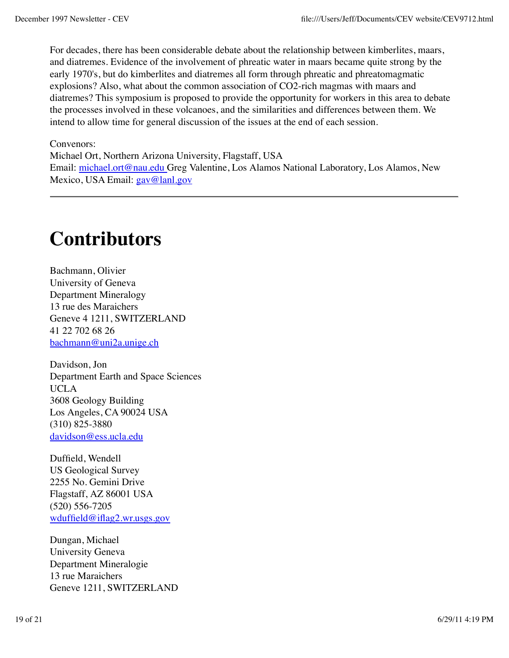For decades, there has been considerable debate about the relationship between kimberlites, maars, and diatremes. Evidence of the involvement of phreatic water in maars became quite strong by the early 1970's, but do kimberlites and diatremes all form through phreatic and phreatomagmatic explosions? Also, what about the common association of CO2-rich magmas with maars and diatremes? This symposium is proposed to provide the opportunity for workers in this area to debate the processes involved in these volcanoes, and the similarities and differences between them. We intend to allow time for general discussion of the issues at the end of each session.

#### Convenors:

Michael Ort, Northern Arizona University, Flagstaff, USA Email: michael.ort@nau.edu Greg Valentine, Los Alamos National Laboratory, Los Alamos, New Mexico, USA Email: gav@lanl.gov

## **Contributors**

Bachmann, Olivier University of Geneva Department Mineralogy 13 rue des Maraichers Geneve 4 1211, SWITZERLAND 41 22 702 68 26 bachmann@uni2a.unige.ch

Davidson, Jon Department Earth and Space Sciences UCLA 3608 Geology Building Los Angeles, CA 90024 USA (310) 825-3880 davidson@ess.ucla.edu

Duffield, Wendell US Geological Survey 2255 No. Gemini Drive Flagstaff, AZ 86001 USA (520) 556-7205 wduffield@iflag2.wr.usgs.gov

Dungan, Michael University Geneva Department Mineralogie 13 rue Maraichers Geneve 1211, SWITZERLAND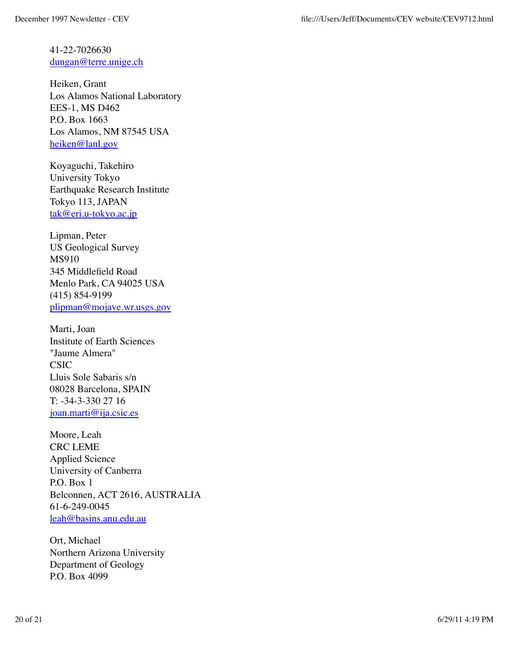41-22-7026630 dungan@terre.unige.ch

Heiken, Grant Los Alamos National Laboratory EES-1, MS D462 P.O. Box 1663 Los Alamos, NM 87545 USA heiken@lanl.gov

Koyaguchi, Takehiro University Tokyo Earthquake Research Institute Tokyo 113, JAPAN tak@eri.u-tokyo.ac.jp

Lipman, Peter US Geological Survey MS910 345 Middlefield Road Menlo Park, CA 94025 USA (415) 854-9199 plipman@mojave.wr.usgs.gov

Marti, Joan Institute of Earth Sciences "Jaume Almera" CSIC Lluis Sole Sabaris s/n 08028 Barcelona, SPAIN T: -34-3-330 27 16 joan.marti@ija.csic.es

Moore, Leah CRC LEME Applied Science University of Canberra P.O. Box 1 Belconnen, ACT 2616, AUSTRALIA 61-6-249-0045 leah@basins.anu.edu.au

Ort, Michael Northern Arizona University Department of Geology P.O. Box 4099